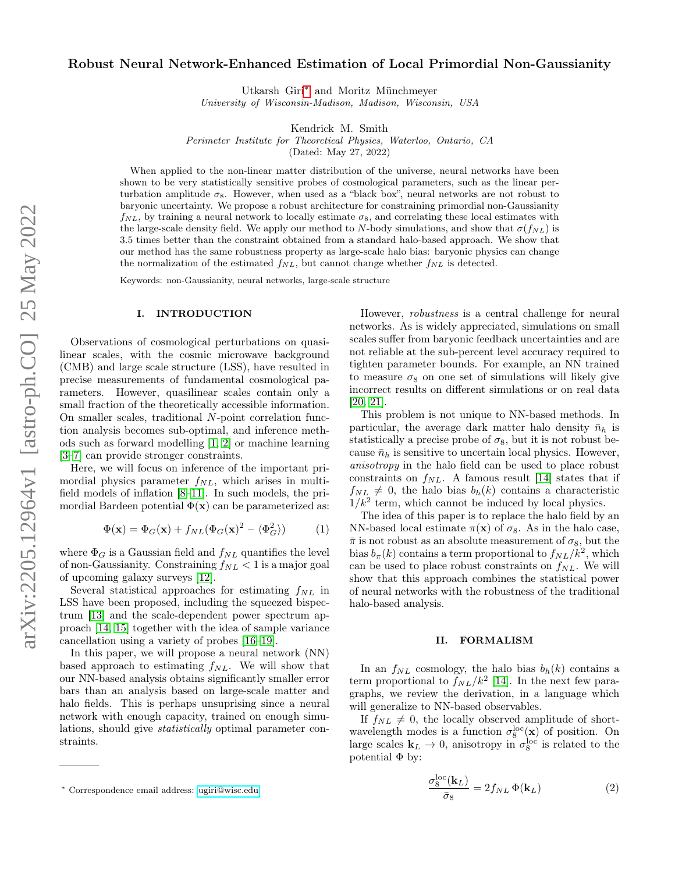# Robust Neural Network-Enhanced Estimation of Local Primordial Non-Gaussianity

Utkarsh Giri[∗](#page-0-0) and Moritz Münchmeyer

University of Wisconsin-Madison, Madison, Wisconsin, USA

Kendrick M. Smith

Perimeter Institute for Theoretical Physics, Waterloo, Ontario, CA

(Dated: May 27, 2022)

When applied to the non-linear matter distribution of the universe, neural networks have been shown to be very statistically sensitive probes of cosmological parameters, such as the linear perturbation amplitude  $\sigma_8$ . However, when used as a "black box", neural networks are not robust to baryonic uncertainty. We propose a robust architecture for constraining primordial non-Gaussianity  $f_{NL}$ , by training a neural network to locally estimate  $\sigma_8$ , and correlating these local estimates with the large-scale density field. We apply our method to N-body simulations, and show that  $\sigma(f_{NL})$  is 3.5 times better than the constraint obtained from a standard halo-based approach. We show that our method has the same robustness property as large-scale halo bias: baryonic physics can change the normalization of the estimated  $f_{NL}$ , but cannot change whether  $f_{NL}$  is detected.

Keywords: non-Gaussianity, neural networks, large-scale structure

# I. INTRODUCTION

Observations of cosmological perturbations on quasilinear scales, with the cosmic microwave background (CMB) and large scale structure (LSS), have resulted in precise measurements of fundamental cosmological parameters. However, quasilinear scales contain only a small fraction of the theoretically accessible information. On smaller scales, traditional N-point correlation function analysis becomes sub-optimal, and inference methods such as forward modelling [\[1,](#page-5-0) [2\]](#page-5-1) or machine learning [\[3–](#page-5-2)[7\]](#page-5-3) can provide stronger constraints.

Here, we will focus on inference of the important primordial physics parameter  $f_{NL}$ , which arises in multifield models of inflation [\[8](#page-5-4)[–11\]](#page-5-5). In such models, the primordial Bardeen potential  $\Phi(\mathbf{x})$  can be parameterized as:

<span id="page-0-2"></span>
$$
\Phi(\mathbf{x}) = \Phi_G(\mathbf{x}) + f_{NL}(\Phi_G(\mathbf{x})^2 - \langle \Phi_G^2 \rangle)
$$
 (1)

where  $\Phi_G$  is a Gaussian field and  $f_{NL}$  quantifies the level of non-Gaussianity. Constraining  $f_{NL} < 1$  is a major goal of upcoming galaxy surveys [\[12\]](#page-5-6).

Several statistical approaches for estimating  $f_{NL}$  in LSS have been proposed, including the squeezed bispectrum [\[13\]](#page-5-7) and the scale-dependent power spectrum approach [\[14,](#page-5-8) [15\]](#page-5-9) together with the idea of sample variance cancellation using a variety of probes [\[16–](#page-5-10)[19\]](#page-5-11).

In this paper, we will propose a neural network (NN) based approach to estimating  $f_{NL}$ . We will show that our NN-based analysis obtains significantly smaller error bars than an analysis based on large-scale matter and halo fields. This is perhaps unsuprising since a neural network with enough capacity, trained on enough simulations, should give statistically optimal parameter constraints.

However, robustness is a central challenge for neural networks. As is widely appreciated, simulations on small scales suffer from baryonic feedback uncertainties and are not reliable at the sub-percent level accuracy required to tighten parameter bounds. For example, an NN trained to measure  $\sigma_8$  on one set of simulations will likely give incorrect results on different simulations or on real data [\[20,](#page-5-12) [21\]](#page-5-13).

This problem is not unique to NN-based methods. In particular, the average dark matter halo density  $\bar{n}_h$  is statistically a precise probe of  $\sigma_8$ , but it is not robust because  $\bar{n}_h$  is sensitive to uncertain local physics. However, anisotropy in the halo field can be used to place robust constraints on  $f_{NL}$ . A famous result [\[14\]](#page-5-8) states that if  $f_{NL} \neq 0$ , the halo bias  $b_h(k)$  contains a characteristic  $1/k<sup>2</sup>$  term, which cannot be induced by local physics.

The idea of this paper is to replace the halo field by an NN-based local estimate  $\pi(\mathbf{x})$  of  $\sigma_8$ . As in the halo case,  $\bar{\pi}$  is not robust as an absolute measurement of  $\sigma_8$ , but the bias  $b_{\pi}(k)$  contains a term proportional to  $f_{NL}/k^2$ , which can be used to place robust constraints on  $f_{NL}$ . We will show that this approach combines the statistical power of neural networks with the robustness of the traditional halo-based analysis.

# <span id="page-0-3"></span>II. FORMALISM

In an  $f_{NL}$  cosmology, the halo bias  $b_h(k)$  contains a term proportional to  $f_{NL}/k^2$  [\[14\]](#page-5-8). In the next few paragraphs, we review the derivation, in a language which will generalize to NN-based observables.

If  $f_{NL} \neq 0$ , the locally observed amplitude of shortwavelength modes is a function  $\sigma_8^{\rm loc}(\mathbf{x})$  of position. On large scales  $\mathbf{k}_L \to 0$ , anisotropy in  $\sigma_8^{\text{loc}}$  is related to the potential  $\Phi$  by:

<span id="page-0-1"></span>
$$
\frac{\sigma_8^{\rm loc}(\mathbf{k}_L)}{\bar{\sigma}_8} = 2f_{NL} \, \Phi(\mathbf{k}_L) \tag{2}
$$

<span id="page-0-0"></span><sup>∗</sup> Correspondence email address: [ugiri@wisc.edu](mailto:ugiri@wisc.edu)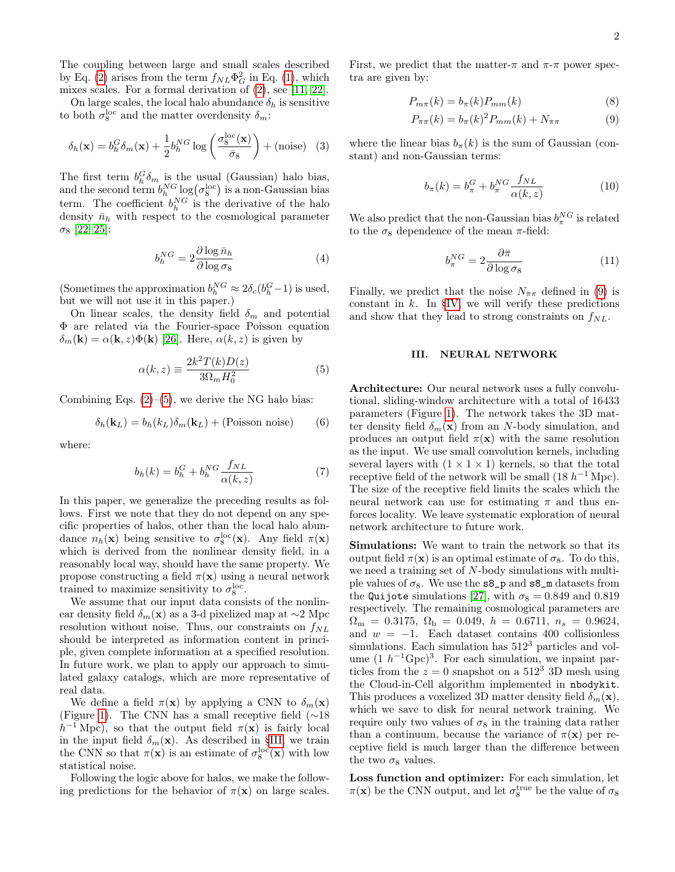The coupling between large and small scales described by Eq. [\(2\)](#page-0-1) arises from the term  $f_{NL}\Phi_G^2$  in Eq. [\(1\)](#page-0-2), which mixes scales. For a formal derivation of [\(2\)](#page-0-1), see [\[11,](#page-5-5) [22\]](#page-5-14).

On large scales, the local halo abundance  $\delta_h$  is sensitive to both  $\sigma_8^{\text{loc}}$  and the matter overdensity  $\delta_m$ :

$$
\delta_h(\mathbf{x}) = b_h^G \delta_m(\mathbf{x}) + \frac{1}{2} b_h^{NG} \log \left( \frac{\sigma_8^{\text{loc}}(\mathbf{x})}{\bar{\sigma}_8} \right) + (\text{noise}) \quad (3)
$$

The first term  $b_h^G \delta_m$  is the usual (Gaussian) halo bias, and the second term  $b_h^{NG} \log(\sigma_8^{\rm loc})$  is a non-Gaussian bias term. The coefficient  $b_h^{NG}$  is the derivative of the halo density  $\bar{n}_h$  with respect to the cosmological parameter  $\sigma_8$  [\[22](#page-5-14)[–25\]](#page-5-15):

<span id="page-1-6"></span>
$$
b_h^{NG} = 2 \frac{\partial \log \bar{n}_h}{\partial \log \sigma_8} \tag{4}
$$

(Sometimes the approximation  $b_h^{NG} \approx 2\delta_c(b_h^G-1)$  is used, but we will not use it in this paper.)

On linear scales, the density field  $\delta_m$  and potential Φ are related via the Fourier-space Poisson equation  $\delta_m(\mathbf{k}) = \alpha(\mathbf{k}, z) \Phi(\mathbf{k})$  [\[26\]](#page-5-16). Here,  $\alpha(k, z)$  is given by

<span id="page-1-0"></span>
$$
\alpha(k, z) \equiv \frac{2k^2 T(k)D(z)}{3\Omega_m H_0^2} \tag{5}
$$

Combining Eqs.  $(2)$ – $(5)$ , we derive the NG halo bias:

$$
\delta_h(\mathbf{k}_L) = b_h(k_L)\delta_m(\mathbf{k}_L) + \text{(Poisson noise)}\tag{6}
$$

where:

$$
b_h(k) = b_h^G + b_h^{NG} \frac{f_{NL}}{\alpha(k, z)}
$$
(7)

In this paper, we generalize the preceding results as follows. First we note that they do not depend on any specific properties of halos, other than the local halo abundance  $n_h(\mathbf{x})$  being sensitive to  $\sigma_8^{\text{loc}}(\mathbf{x})$ . Any field  $\pi(\mathbf{x})$ which is derived from the nonlinear density field, in a reasonably local way, should have the same property. We propose constructing a field  $\pi(\mathbf{x})$  using a neural network trained to maximize sensitivity to  $\sigma_8^{\text{loc}}$ .

We assume that our input data consists of the nonlinear density field  $\delta_m(\mathbf{x})$  as a 3-d pixelized map at ∼2 Mpc resolution without noise. Thus, our constraints on  $f_{NL}$ should be interpreted as information content in principle, given complete information at a specified resolution. In future work, we plan to apply our approach to simulated galaxy catalogs, which are more representative of real data.

We define a field  $\pi(\mathbf{x})$  by applying a CNN to  $\delta_m(\mathbf{x})$ (Figure [1\)](#page-2-0). The CNN has a small receptive field (∼18  $h^{-1}$  Mpc), so that the output field  $\pi(\mathbf{x})$  is fairly local in the input field  $\delta_m(\mathbf{x})$ . As described in [§III,](#page-1-1) we train the CNN so that  $\pi(\mathbf{x})$  is an estimate of  $\sigma_8^{\text{loc}}(\mathbf{x})$  with low statistical noise.

Following the logic above for halos, we make the following predictions for the behavior of  $\pi(\mathbf{x})$  on large scales. First, we predict that the matter- $\pi$  and  $\pi$ - $\pi$  power spectra are given by:

$$
P_{m\pi}(k) = b_{\pi}(k)P_{mm}(k)
$$
\n(8)

<span id="page-1-3"></span>
$$
P_{\pi\pi}(k) = b_{\pi}(k)^{2} P_{mm}(k) + N_{\pi\pi}
$$
 (9)

where the linear bias  $b_\pi(k)$  is the sum of Gaussian (constant) and non-Gaussian terms:

<span id="page-1-5"></span><span id="page-1-2"></span>
$$
b_{\pi}(k) = b_{\pi}^G + b_{\pi}^{NG} \frac{f_{NL}}{\alpha(k, z)}
$$
(10)

We also predict that the non-Gaussian bias  $b_{\pi}^{NG}$  is related to the  $\sigma_8$  dependence of the mean  $\pi$ -field:

<span id="page-1-4"></span>
$$
b_{\pi}^{NG} = 2 \frac{\partial \bar{\pi}}{\partial \log \sigma_8}
$$
 (11)

Finally, we predict that the noise  $N_{\pi\pi}$  defined in [\(9\)](#page-1-2) is constant in  $k$ . In [§IV,](#page-2-1) we will verify these predictions and show that they lead to strong constraints on  $f_{NL}$ .

#### <span id="page-1-1"></span>III. NEURAL NETWORK

Architecture: Our neural network uses a fully convolutional, sliding-window architecture with a total of 16433 parameters (Figure [1\)](#page-2-0). The network takes the 3D matter density field  $\delta_m(\mathbf{x})$  from an N-body simulation, and produces an output field  $\pi(\mathbf{x})$  with the same resolution as the input. We use small convolution kernels, including several layers with  $(1 \times 1 \times 1)$  kernels, so that the total receptive field of the network will be small  $(18 h^{-1} \text{ Mpc})$ . The size of the receptive field limits the scales which the neural network can use for estimating  $\pi$  and thus enforces locality. We leave systematic exploration of neural network architecture to future work.

Simulations: We want to train the network so that its output field  $\pi(\mathbf{x})$  is an optimal estimate of  $\sigma_8$ . To do this, we need a training set of N-body simulations with multiple values of  $\sigma_8$ . We use the  $s_9$  and  $s_8$  m datasets from the Quijote simulations [\[27\]](#page-5-17), with  $\sigma_8 = 0.849$  and 0.819 respectively. The remaining cosmological parameters are  $\Omega_{\rm m} = 0.3175, \ \Omega_{\rm b} = 0.049, \ h = 0.6711, \ n_s = 0.9624,$ and  $w = -1$ . Each dataset contains 400 collisionless simulations. Each simulation has  $512<sup>3</sup>$  particles and volume  $(1 h^{-1} Gpc)^3$ . For each simulation, we inpaint particles from the  $z = 0$  snapshot on a 512<sup>3</sup> 3D mesh using the Cloud-in-Cell algorithm implemented in nbodykit. This produces a voxelized 3D matter density field  $\delta_m(\mathbf{x})$ , which we save to disk for neural network training. We require only two values of  $\sigma_8$  in the training data rather than a continuum, because the variance of  $\pi(\mathbf{x})$  per receptive field is much larger than the difference between the two  $\sigma_8$  values.

Loss function and optimizer: For each simulation, let  $\pi(\mathbf{x})$  be the CNN output, and let  $\sigma_8^{\text{true}}$  be the value of  $\sigma_8$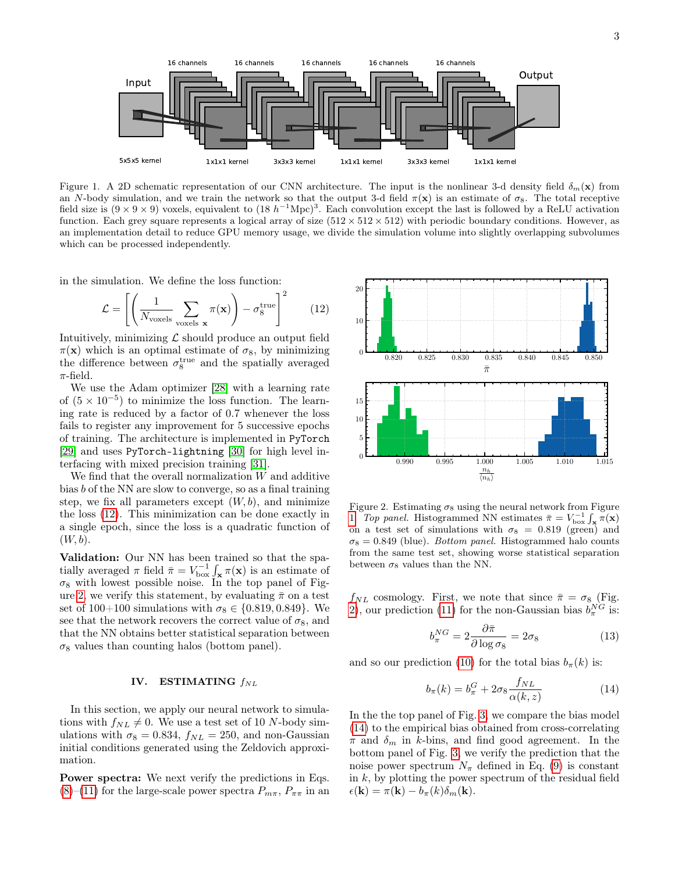

<span id="page-2-0"></span>Figure 1. A 2D schematic representation of our CNN architecture. The input is the nonlinear 3-d density field  $\delta_m(\mathbf{x})$  from an N-body simulation, and we train the network so that the output 3-d field  $\pi(\mathbf{x})$  is an estimate of  $\sigma_8$ . The total receptive field size is  $(9 \times 9 \times 9)$  voxels, equivalent to  $(18 \ h^{-1} \text{Mpc})^3$ . Each convolution except the last is followed by a ReLU activation function. Each grey square represents a logical array of size  $(512 \times 512 \times 512)$  with periodic boundary conditions. However, as an implementation detail to reduce GPU memory usage, we divide the simulation volume into slightly overlapping subvolumes which can be processed independently.

in the simulation. We define the loss function:

<span id="page-2-2"></span>
$$
\mathcal{L} = \left[ \left( \frac{1}{N_{\text{voxels}}} \sum_{\text{voxels } \mathbf{x}} \pi(\mathbf{x}) \right) - \sigma_8^{\text{true}} \right]^2 \tag{12}
$$

Intuitively, minimizing  $\mathcal L$  should produce an output field  $\pi(\mathbf{x})$  which is an optimal estimate of  $\sigma_8$ , by minimizing the difference between  $\sigma_8^{\text{true}}$  and the spatially averaged  $\pi$ -field.

We use the Adam optimizer [\[28\]](#page-5-18) with a learning rate of  $(5 \times 10^{-5})$  to minimize the loss function. The learning rate is reduced by a factor of 0.7 whenever the loss fails to register any improvement for 5 successive epochs of training. The architecture is implemented in PyTorch [\[29\]](#page-5-19) and uses PyTorch-lightning [\[30\]](#page-5-20) for high level interfacing with mixed precision training [\[31\]](#page-5-21).

We find that the overall normalization  $W$  and additive bias b of the NN are slow to converge, so as a final training step, we fix all parameters except  $(W, b)$ , and minimize the loss [\(12\)](#page-2-2). This minimization can be done exactly in a single epoch, since the loss is a quadratic function of  $(W, b)$ .

Validation: Our NN has been trained so that the spatially averaged  $\pi$  field  $\bar{\pi} = V_{\text{box}}^{-1} \int_{\mathbf{x}} \pi(\mathbf{x})$  is an estimate of  $\sigma_8$  with lowest possible noise. In the top panel of Fig-ure [2,](#page-2-3) we verify this statement, by evaluating  $\bar{\pi}$  on a test set of 100+100 simulations with  $\sigma_8 \in \{0.819, 0.849\}$ . We see that the network recovers the correct value of  $\sigma_8$ , and that the NN obtains better statistical separation between  $\sigma_8$  values than counting halos (bottom panel).

# <span id="page-2-1"></span>IV. ESTIMATING  $f_{NL}$

In this section, we apply our neural network to simulations with  $f_{NL} \neq 0$ . We use a test set of 10 N-body simulations with  $\sigma_8 = 0.834$ ,  $f_{NL} = 250$ , and non-Gaussian initial conditions generated using the Zeldovich approximation.

Power spectra: We next verify the predictions in Eqs.  $(8)-(11)$  $(8)-(11)$  $(8)-(11)$  for the large-scale power spectra  $P_{m\pi}$ ,  $P_{\pi\pi}$  in an



<span id="page-2-3"></span>Figure 2. Estimating  $\sigma_8$  using the neural network from Figure [1.](#page-2-0) Top panel. Histogrammed NN estimates  $\bar{\pi} = V_{\text{box}}^{-1} \int_{\mathbf{x}} \bar{\pi}(\mathbf{x})$ on a test set of simulations with  $\sigma_8 = 0.819$  (green) and  $\sigma_8 = 0.849$  (blue). *Bottom panel*. Histogrammed halo counts from the same test set, showing worse statistical separation between  $\sigma_8$  values than the NN.

 $f_{NL}$  cosmology. First, we note that since  $\bar{\pi} = \sigma_8$  (Fig. [2\)](#page-2-3), our prediction [\(11\)](#page-1-4) for the non-Gaussian bias  $b_{\pi}^{NG}$  is:

$$
b_{\pi}^{NG} = 2 \frac{\partial \bar{\pi}}{\partial \log \sigma_8} = 2\sigma_8 \tag{13}
$$

and so our prediction [\(10\)](#page-1-5) for the total bias  $b_\pi(k)$  is:

<span id="page-2-4"></span>
$$
b_{\pi}(k) = b_{\pi}^G + 2\sigma_8 \frac{f_{NL}}{\alpha(k, z)}
$$
(14)

In the the top panel of Fig. [3,](#page-3-0) we compare the bias model [\(14\)](#page-2-4) to the empirical bias obtained from cross-correlating  $\pi$  and  $\delta_m$  in k-bins, and find good agreement. In the bottom panel of Fig. [3,](#page-3-0) we verify the prediction that the noise power spectrum  $N_{\pi}$  defined in Eq. [\(9\)](#page-1-2) is constant in  $k$ , by plotting the power spectrum of the residual field  $\epsilon(\mathbf{k}) = \pi(\mathbf{k}) - b_{\pi}(k)\delta_{m}(\mathbf{k}).$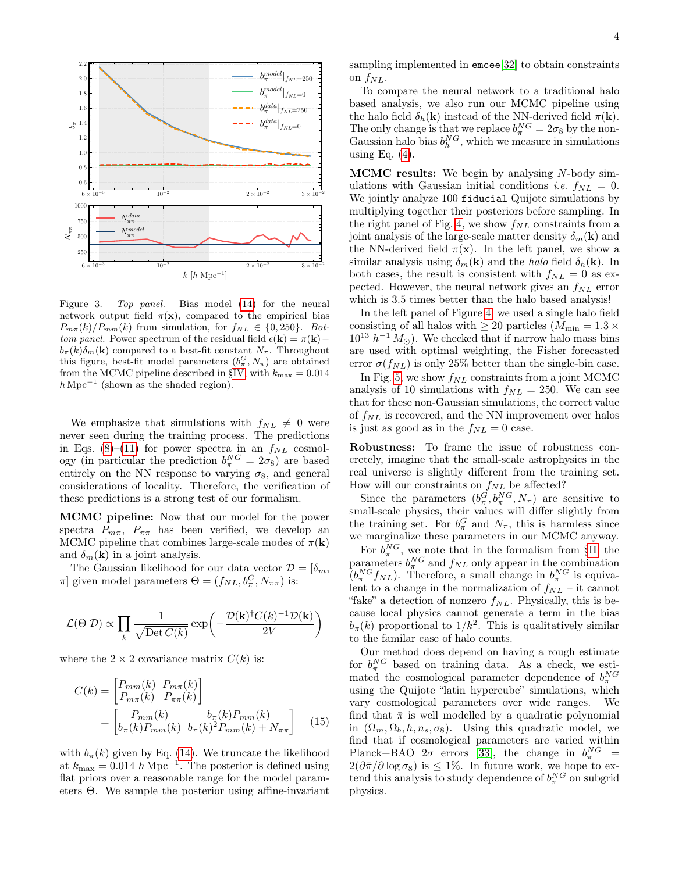

<span id="page-3-0"></span>Figure 3. Top panel. Bias model [\(14\)](#page-2-4) for the neural network output field  $\pi(\mathbf{x})$ , compared to the empirical bias  $P_{m\pi}(k)/P_{mm}(k)$  from simulation, for  $f_{NL} \in \{0,250\}$ . Bottom panel. Power spectrum of the residual field  $\epsilon(\mathbf{k}) = \pi(\mathbf{k}) - \epsilon$  $b_{\pi}(k)\delta_{m}(\mathbf{k})$  compared to a best-fit constant  $N_{\pi}$ . Throughout this figure, best-fit model parameters  $(b_{\pi}^{G}, N_{\pi})$  are obtained from the MCMC pipeline described in [§IV,](#page-2-1) with  $k_{\text{max}} = 0.014$  $h\,\mathrm{Mpc}^{-1}$  (shown as the shaded region).

We emphasize that simulations with  $f_{NL} \neq 0$  were never seen during the training process. The predictions in Eqs. [\(8\)](#page-1-3)–[\(11\)](#page-1-4) for power spectra in an  $f_{NL}$  cosmology (in particular the prediction  $b_{\pi}^{NG} = 2\sigma_8$ ) are based entirely on the NN response to varying  $\sigma_8$ , and general considerations of locality. Therefore, the verification of these predictions is a strong test of our formalism.

MCMC pipeline: Now that our model for the power spectra  $P_{m\pi}$ ,  $P_{\pi\pi}$  has been verified, we develop an MCMC pipeline that combines large-scale modes of  $\pi(\mathbf{k})$ and  $\delta_m(\mathbf{k})$  in a joint analysis.

The Gaussian likelihood for our data vector  $\mathcal{D} = [\delta_m, \delta_m]$  $\pi$ ] given model parameters  $\Theta = (f_{NL}, b^G_{\pi}, N_{\pi\pi})$  is:

$$
\mathcal{L}(\Theta|\mathcal{D}) \propto \prod_k \frac{1}{\sqrt{\text{Det}\, C(k)}} \exp\biggl(-\frac{\mathcal{D}(\mathbf{k})^\dagger C(k)^{-1}\mathcal{D}(\mathbf{k})}{2V}\biggr)
$$

where the  $2 \times 2$  covariance matrix  $C(k)$  is:

$$
C(k) = \begin{bmatrix} P_{mm}(k) & P_{m\pi}(k) \\ P_{m\pi}(k) & P_{\pi\pi}(k) \end{bmatrix}
$$
  
= 
$$
\begin{bmatrix} P_{mm}(k) & b_{\pi}(k)P_{mm}(k) \\ b_{\pi}(k)P_{mm}(k) & b_{\pi}(k)^2P_{mm}(k) + N_{\pi\pi} \end{bmatrix}
$$
 (15)

with  $b_{\pi}(k)$  given by Eq. [\(14\)](#page-2-4). We truncate the likelihood at  $k_{\text{max}} = 0.014 \ h \text{ Mpc}^{-1}$ . The posterior is defined using flat priors over a reasonable range for the model parameters Θ. We sample the posterior using affine-invariant sampling implemented in emcee[\[32\]](#page-5-22) to obtain constraints on  $f_{NL}$ .

To compare the neural network to a traditional halo based analysis, we also run our MCMC pipeline using the halo field  $\delta_h(\mathbf{k})$  instead of the NN-derived field  $\pi(\mathbf{k})$ . The only change is that we replace  $b_{\pi}^{NG} = 2\sigma_8$  by the non-Gaussian halo bias  $b_h^{NG}$ , which we measure in simulations using Eq.  $(4)$ .

MCMC results: We begin by analysing N-body simulations with Gaussian initial conditions *i.e.*  $f_{NL} = 0$ . We jointly analyze 100 fiducial Quijote simulations by multiplying together their posteriors before sampling. In the right panel of Fig. [4,](#page-4-0) we show  $f_{NL}$  constraints from a joint analysis of the large-scale matter density  $\delta_m(\mathbf{k})$  and the NN-derived field  $\pi(\mathbf{x})$ . In the left panel, we show a similar analysis using  $\delta_m(\mathbf{k})$  and the halo field  $\delta_h(\mathbf{k})$ . In both cases, the result is consistent with  $f_{NL} = 0$  as expected. However, the neural network gives an  $f_{NL}$  error which is 3.5 times better than the halo based analysis!

In the left panel of Figure [4,](#page-4-0) we used a single halo field consisting of all halos with  $\geq 20$  particles ( $M_{\text{min}} = 1.3 \times$  $10^{13}$   $h^{-1}$   $M_{\odot}$ ). We checked that if narrow halo mass bins are used with optimal weighting, the Fisher forecasted error  $\sigma(f_{NL})$  is only 25% better than the single-bin case.

In Fig. [5,](#page-4-1) we show  $f_{NL}$  constraints from a joint MCMC analysis of 10 simulations with  $f_{NL} = 250$ . We can see that for these non-Gaussian simulations, the correct value of  $f_{NL}$  is recovered, and the NN improvement over halos is just as good as in the  $f_{NL} = 0$  case.

Robustness: To frame the issue of robustness concretely, imagine that the small-scale astrophysics in the real universe is slightly different from the training set. How will our constraints on  $f_{NL}$  be affected?

Since the parameters  $(b_{\pi}^G, b_{\pi}^{NG}, N_{\pi})$  are sensitive to small-scale physics, their values will differ slightly from the training set. For  $b_{\pi}^G$  and  $N_{\pi}$ , this is harmless since we marginalize these parameters in our MCMC anyway.

For  $b_{\pi}^{NG}$ , we note that in the formalism from [§II,](#page-0-3) the parameters  $b_{\pi}^{NG}$  and  $f_{NL}$  only appear in the combination  $(b_{\pi}^{NG} f_{NL})$ . Therefore, a small change in  $b_{\pi}^{NG}$  is equivalent to a change in the normalization of  $f_{NL}$  – it cannot "fake" a detection of nonzero  $f_{NL}$ . Physically, this is because local physics cannot generate a term in the bias  $b_{\pi}(k)$  proportional to  $1/k^2$ . This is qualitatively similar to the familar case of halo counts.

Our method does depend on having a rough estimate for  $b_{\pi}^{NG}$  based on training data. As a check, we estimated the cosmological parameter dependence of  $b_{\pi}^{NG}$ using the Quijote "latin hypercube" simulations, which vary cosmological parameters over wide ranges. We find that  $\bar{\pi}$  is well modelled by a quadratic polynomial in  $(\Omega_m, \Omega_b, h, n_s, \sigma_8)$ . Using this quadratic model, we find that if cosmological parameters are varied within Planck+BAO  $2\sigma$  errors [\[33\]](#page-5-23), the change in  $b_{\pi}^{NG}$  =  $2(\partial \bar{\pi}/\partial \log \sigma_8)$  is  $\leq 1\%$ . In future work, we hope to extend this analysis to study dependence of  $b_{\pi}^{NG}$  on subgrid physics.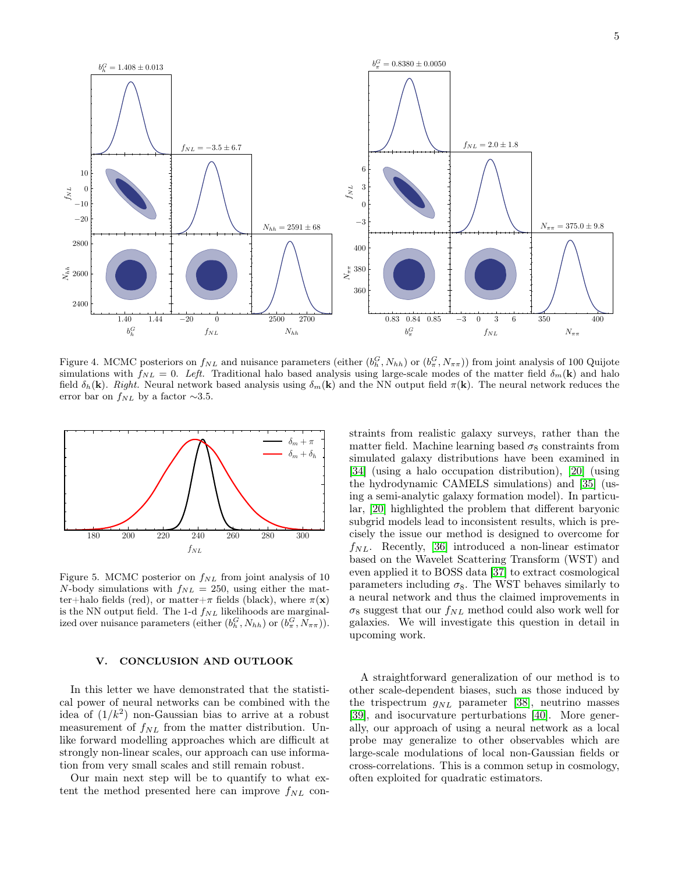

<span id="page-4-0"></span>Figure 4. MCMC posteriors on  $f_{NL}$  and nuisance parameters (either  $(b_h^G, N_{hh})$  or  $(b_\pi^G, N_{\pi\pi})$ ) from joint analysis of 100 Quijote simulations with  $f_{NL} = 0$ . Left. Traditional halo based analysis using large-scale modes of the matter field  $\delta_m(\mathbf{k})$  and halo field  $\delta_h(\mathbf{k})$ . Right. Neural network based analysis using  $\delta_m(\mathbf{k})$  and the NN output field  $\pi(\mathbf{k})$ . The neural network reduces the error bar on  $f_{NL}$  by a factor  $\sim$ 3.5.



<span id="page-4-1"></span>Figure 5. MCMC posterior on  $f_{NL}$  from joint analysis of 10 N-body simulations with  $f_{NL} = 250$ , using either the matter+halo fields (red), or matter+ $\pi$  fields (black), where  $\pi(\mathbf{x})$ is the NN output field. The 1-d  $f_{NL}$  likelihoods are marginalized over nuisance parameters (either  $(b_h^G, N_{hh})$  or  $(b_\pi^G, N_{\pi\pi})$ ).

# V. CONCLUSION AND OUTLOOK

In this letter we have demonstrated that the statistical power of neural networks can be combined with the idea of  $(1/k^2)$  non-Gaussian bias to arrive at a robust measurement of  $f_{NL}$  from the matter distribution. Unlike forward modelling approaches which are difficult at strongly non-linear scales, our approach can use information from very small scales and still remain robust.

Our main next step will be to quantify to what extent the method presented here can improve  $f_{NL}$  constraints from realistic galaxy surveys, rather than the matter field. Machine learning based  $\sigma_8$  constraints from simulated galaxy distributions have been examined in [\[34\]](#page-5-24) (using a halo occupation distribution), [\[20\]](#page-5-12) (using the hydrodynamic CAMELS simulations) and [\[35\]](#page-5-25) (using a semi-analytic galaxy formation model). In particular, [\[20\]](#page-5-12) highlighted the problem that different baryonic subgrid models lead to inconsistent results, which is precisely the issue our method is designed to overcome for  $f_{NL}$ . Recently, [\[36\]](#page-5-26) introduced a non-linear estimator based on the Wavelet Scattering Transform (WST) and even applied it to BOSS data [\[37\]](#page-5-27) to extract cosmological parameters including  $\sigma_8$ . The WST behaves similarly to a neural network and thus the claimed improvements in  $\sigma_8$  suggest that our  $f_{NL}$  method could also work well for galaxies. We will investigate this question in detail in upcoming work.

A straightforward generalization of our method is to other scale-dependent biases, such as those induced by the trispectrum  $g_{NL}$  parameter [\[38\]](#page-5-28), neutrino masses [\[39\]](#page-5-29), and isocurvature perturbations [\[40\]](#page-5-30). More generally, our approach of using a neural network as a local probe may generalize to other observables which are large-scale modulations of local non-Gaussian fields or cross-correlations. This is a common setup in cosmology, often exploited for quadratic estimators.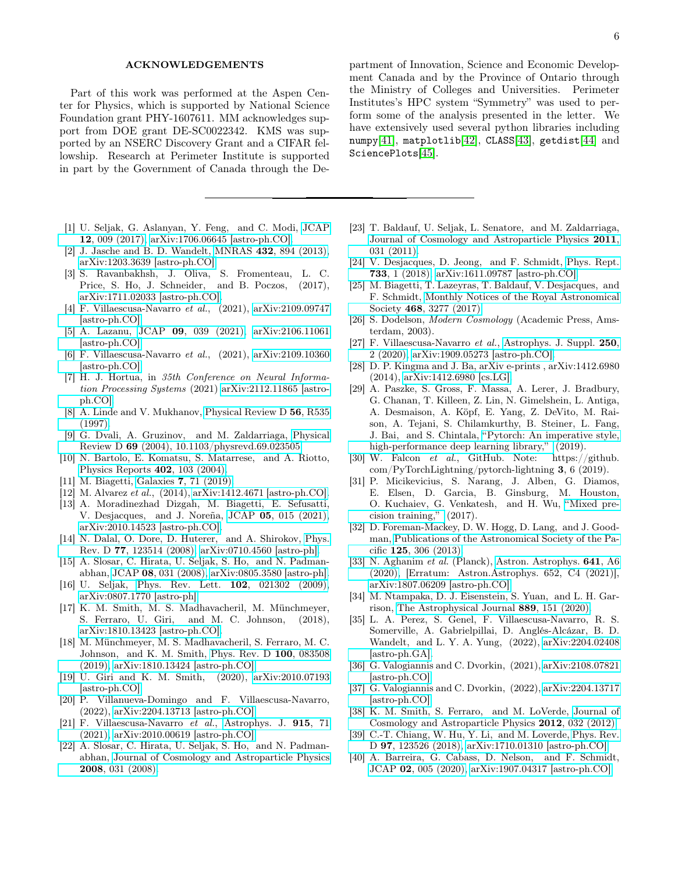## ACKNOWLEDGEMENTS

Part of this work was performed at the Aspen Center for Physics, which is supported by National Science Foundation grant PHY-1607611. MM acknowledges support from DOE grant DE-SC0022342. KMS was supported by an NSERC Discovery Grant and a CIFAR fellowship. Research at Perimeter Institute is supported in part by the Government of Canada through the De-

- <span id="page-5-0"></span>[1] U. Seljak, G. Aslanyan, Y. Feng, and C. Modi, [JCAP](https://doi.org/ 10.1088/1475-7516/2017/12/009) 12[, 009 \(2017\),](https://doi.org/ 10.1088/1475-7516/2017/12/009) [arXiv:1706.06645 \[astro-ph.CO\].](http://arxiv.org/abs/1706.06645)
- <span id="page-5-1"></span>[2] J. Jasche and B. D. Wandelt, MNRAS 432[, 894 \(2013\),](https://doi.org/10.1093/mnras/stt449) [arXiv:1203.3639 \[astro-ph.CO\].](http://arxiv.org/abs/1203.3639)
- <span id="page-5-2"></span>[3] S. Ravanbakhsh, J. Oliva, S. Fromenteau, L. C. Price, S. Ho, J. Schneider, and B. Poczos, (2017), [arXiv:1711.02033 \[astro-ph.CO\].](http://arxiv.org/abs/1711.02033)
- [4] F. Villaescusa-Navarro et al., (2021), [arXiv:2109.09747](http://arxiv.org/abs/2109.09747) [\[astro-ph.CO\].](http://arxiv.org/abs/2109.09747)
- [5] A. Lazanu, JCAP 09[, 039 \(2021\),](https://doi.org/10.1088/1475-7516/2021/09/039) [arXiv:2106.11061](http://arxiv.org/abs/2106.11061) [\[astro-ph.CO\].](http://arxiv.org/abs/2106.11061)
- [6] F. Villaescusa-Navarro et al., (2021), [arXiv:2109.10360](http://arxiv.org/abs/2109.10360) [\[astro-ph.CO\].](http://arxiv.org/abs/2109.10360)
- <span id="page-5-3"></span>[7] H. J. Hortua, in 35th Conference on Neural Information Processing Systems (2021) [arXiv:2112.11865 \[astro](http://arxiv.org/abs/2112.11865)[ph.CO\].](http://arxiv.org/abs/2112.11865)
- <span id="page-5-4"></span>[8] A. Linde and V. Mukhanov, [Physical Review D](https://doi.org/10.1103/physrevd.56.r535) 56, R535 [\(1997\).](https://doi.org/10.1103/physrevd.56.r535)
- [9] G. Dvali, A. Gruzinov, and M. Zaldarriaga, [Physical](https://doi.org/10.1103/physrevd.69.023505) Review D 69 [\(2004\), 10.1103/physrevd.69.023505.](https://doi.org/10.1103/physrevd.69.023505)
- [10] N. Bartolo, E. Komatsu, S. Matarrese, and A. Riotto, [Physics Reports](https://doi.org/10.1016/j.physrep.2004.08.022) 402, 103 (2004).
- <span id="page-5-5"></span>[11] M. Biagetti, Galaxies 7[, 71 \(2019\).](https://doi.org/10.3390/galaxies7030071)
- <span id="page-5-6"></span>[12] M. Alvarez et al., (2014), [arXiv:1412.4671 \[astro-ph.CO\].](http://arxiv.org/abs/1412.4671)
- <span id="page-5-7"></span>[13] A. Moradinezhad Dizgah, M. Biagetti, E. Sefusatti, V. Desjacques, and J. Noreña, JCAP 05[, 015 \(2021\),](https://doi.org/10.1088/1475-7516/2021/05/015) [arXiv:2010.14523 \[astro-ph.CO\].](http://arxiv.org/abs/2010.14523)
- <span id="page-5-8"></span>[14] N. Dalal, O. Dore, D. Huterer, and A. Shirokov, [Phys.](https://doi.org/10.1103/PhysRevD.77.123514) Rev. D 77[, 123514 \(2008\),](https://doi.org/10.1103/PhysRevD.77.123514) [arXiv:0710.4560 \[astro-ph\].](http://arxiv.org/abs/0710.4560)
- <span id="page-5-9"></span>[15] A. Slosar, C. Hirata, U. Seljak, S. Ho, and N. Padmanabhan, JCAP 08[, 031 \(2008\),](https://doi.org/ 10.1088/1475-7516/2008/08/031) [arXiv:0805.3580 \[astro-ph\].](http://arxiv.org/abs/0805.3580)
- <span id="page-5-10"></span>[16] U. Seljak, [Phys. Rev. Lett.](https://doi.org/10.1103/PhysRevLett.102.021302) 102, 021302 (2009), [arXiv:0807.1770 \[astro-ph\].](http://arxiv.org/abs/0807.1770)
- [17] K. M. Smith, M. S. Madhavacheril, M. Münchmeyer, S. Ferraro, U. Giri, and M. C. Johnson, (2018), [arXiv:1810.13423 \[astro-ph.CO\].](http://arxiv.org/abs/1810.13423)
- [18] M. Münchmeyer, M. S. Madhavacheril, S. Ferraro, M. C. Johnson, and K. M. Smith, [Phys. Rev. D](https://doi.org/10.1103/PhysRevD.100.083508) 100, 083508 [\(2019\),](https://doi.org/10.1103/PhysRevD.100.083508) [arXiv:1810.13424 \[astro-ph.CO\].](http://arxiv.org/abs/1810.13424)
- <span id="page-5-11"></span>[19] U. Giri and K. M. Smith, (2020), [arXiv:2010.07193](http://arxiv.org/abs/2010.07193) [\[astro-ph.CO\].](http://arxiv.org/abs/2010.07193)
- <span id="page-5-12"></span>[20] P. Villanueva-Domingo and F. Villaescusa-Navarro, (2022), [arXiv:2204.13713 \[astro-ph.CO\].](http://arxiv.org/abs/2204.13713)
- <span id="page-5-13"></span>[21] F. Villaescusa-Navarro et al., [Astrophys. J.](https://doi.org/ 10.3847/1538-4357/abf7ba) 915, 71 [\(2021\),](https://doi.org/ 10.3847/1538-4357/abf7ba) [arXiv:2010.00619 \[astro-ph.CO\].](http://arxiv.org/abs/2010.00619)
- <span id="page-5-14"></span>[22] A. Slosar, C. Hirata, U. Seljak, S. Ho, and N. Padmanabhan, [Journal of Cosmology and Astroparticle Physics](https://doi.org/ 10.1088/1475-7516/2008/08/031) 2008[, 031 \(2008\).](https://doi.org/ 10.1088/1475-7516/2008/08/031)

partment of Innovation, Science and Economic Development Canada and by the Province of Ontario through the Ministry of Colleges and Universities. Perimeter Institutes's HPC system "Symmetry" was used to perform some of the analysis presented in the letter. We have extensively used several python libraries including numpy[\[41\]](#page-6-0), matplotlib[\[42\]](#page-6-1), CLASS[\[43\]](#page-6-2), getdist[\[44\]](#page-6-3) and SciencePlots[\[45\]](#page-6-4).

- [23] T. Baldauf, U. Seljak, L. Senatore, and M. Zaldarriaga, [Journal of Cosmology and Astroparticle Physics](https://doi.org/10.1088/1475-7516/2011/10/031) 2011, [031 \(2011\).](https://doi.org/10.1088/1475-7516/2011/10/031)
- [24] V. Desjacques, D. Jeong, and F. Schmidt, [Phys. Rept.](https://doi.org/10.1016/j.physrep.2017.12.002) 733[, 1 \(2018\),](https://doi.org/10.1016/j.physrep.2017.12.002) [arXiv:1611.09787 \[astro-ph.CO\].](http://arxiv.org/abs/1611.09787)
- <span id="page-5-15"></span>[25] M. Biagetti, T. Lazeyras, T. Baldauf, V. Desjacques, and F. Schmidt, [Monthly Notices of the Royal Astronomical](https://doi.org/ 10.1093/mnras/stx714) Society 468[, 3277 \(2017\).](https://doi.org/ 10.1093/mnras/stx714)
- <span id="page-5-16"></span>[26] S. Dodelson, *Modern Cosmology* (Academic Press, Amsterdam, 2003).
- <span id="page-5-17"></span>[27] F. Villaescusa-Navarro et al., [Astrophys. J. Suppl.](https://doi.org/ 10.3847/1538-4365/ab9d82) 250, [2 \(2020\),](https://doi.org/ 10.3847/1538-4365/ab9d82) [arXiv:1909.05273 \[astro-ph.CO\].](http://arxiv.org/abs/1909.05273)
- <span id="page-5-18"></span>[28] D. P. Kingma and J. Ba, arXiv e-prints , arXiv:1412.6980 (2014), [arXiv:1412.6980 \[cs.LG\].](http://arxiv.org/abs/1412.6980)
- <span id="page-5-19"></span>[29] A. Paszke, S. Gross, F. Massa, A. Lerer, J. Bradbury, G. Chanan, T. Killeen, Z. Lin, N. Gimelshein, L. Antiga, A. Desmaison, A. Köpf, E. Yang, Z. DeVito, M. Raison, A. Tejani, S. Chilamkurthy, B. Steiner, L. Fang, J. Bai, and S. Chintala, ["Pytorch: An imperative style,](https://doi.org/10.48550/ARXIV.1912.01703) [high-performance deep learning library,"](https://doi.org/10.48550/ARXIV.1912.01703) (2019).
- <span id="page-5-20"></span>[30] W. Falcon et al., GitHub. Note: https://github. com/PyTorchLightning/pytorch-lightning 3, 6 (2019).
- <span id="page-5-21"></span>[31] P. Micikevicius, S. Narang, J. Alben, G. Diamos, E. Elsen, D. Garcia, B. Ginsburg, M. Houston, O. Kuchaiev, G. Venkatesh, and H. Wu, ["Mixed pre](https://doi.org/10.48550/ARXIV.1710.03740)[cision training,"](https://doi.org/10.48550/ARXIV.1710.03740) (2017).
- <span id="page-5-22"></span>[32] D. Foreman-Mackey, D. W. Hogg, D. Lang, and J. Goodman, [Publications of the Astronomical Society of the Pa](https://doi.org/10.1086/670067)cific 125[, 306 \(2013\).](https://doi.org/10.1086/670067)
- <span id="page-5-23"></span>[33] N. Aghanim et al. (Planck), [Astron. Astrophys.](https://doi.org/10.1051/0004-6361/201833910) 641, A6 [\(2020\),](https://doi.org/10.1051/0004-6361/201833910) [Erratum: Astron.Astrophys. 652, C4 (2021)], [arXiv:1807.06209 \[astro-ph.CO\].](http://arxiv.org/abs/1807.06209)
- <span id="page-5-24"></span>[34] M. Ntampaka, D. J. Eisenstein, S. Yuan, and L. H. Garrison, [The Astrophysical Journal](https://doi.org/10.3847/1538-4357/ab5f5e) 889, 151 (2020).
- <span id="page-5-25"></span>[35] L. A. Perez, S. Genel, F. Villaescusa-Navarro, R. S. Somerville, A. Gabrielpillai, D. Anglés-Alcázar, B. D. Wandelt, and L. Y. A. Yung, (2022), [arXiv:2204.02408](http://arxiv.org/abs/2204.02408) [\[astro-ph.GA\].](http://arxiv.org/abs/2204.02408)
- <span id="page-5-26"></span>[36] G. Valogiannis and C. Dvorkin, (2021), [arXiv:2108.07821](http://arxiv.org/abs/2108.07821) [\[astro-ph.CO\].](http://arxiv.org/abs/2108.07821)
- <span id="page-5-27"></span>[37] G. Valogiannis and C. Dvorkin, (2022), [arXiv:2204.13717](http://arxiv.org/abs/2204.13717) [\[astro-ph.CO\].](http://arxiv.org/abs/2204.13717)
- <span id="page-5-28"></span>[38] K. M. Smith, S. Ferraro, and M. LoVerde, [Journal of](https://doi.org/10.1088/1475-7516/2012/03/032) [Cosmology and Astroparticle Physics](https://doi.org/10.1088/1475-7516/2012/03/032) 2012, 032 (2012).
- <span id="page-5-29"></span>[39] C.-T. Chiang, W. Hu, Y. Li, and M. Loverde, [Phys. Rev.](https://doi.org/ 10.1103/PhysRevD.97.123526) D 97[, 123526 \(2018\),](https://doi.org/ 10.1103/PhysRevD.97.123526) [arXiv:1710.01310 \[astro-ph.CO\].](http://arxiv.org/abs/1710.01310)
- <span id="page-5-30"></span>[40] A. Barreira, G. Cabass, D. Nelson, and F. Schmidt, JCAP 02[, 005 \(2020\),](https://doi.org/ 10.1088/1475-7516/2020/02/005) [arXiv:1907.04317 \[astro-ph.CO\].](http://arxiv.org/abs/1907.04317)